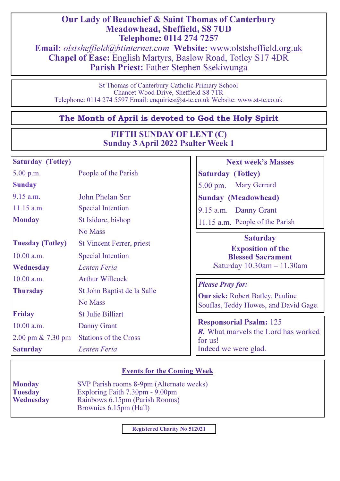# Our Lady of Beauchief & Saint Thomas of Canterbury Meadowhead, Sheffield, S8 7UD Telephone: 0114 274 7257

Email: olstsheffield@btinternet.com Website: www.olstsheffield.org.uk Chapel of Ease: English Martyrs, Baslow Road, Totley S17 4DR Parish Priest: Father Stephen Ssekiwunga

St Thomas of Canterbury Catholic Primary School Chancet Wood Drive, Sheffield S8 7TR Telephone: 0114 274 5597 Email: enquiries@st-tc.co.uk Website: www.st-tc.co.uk

# The Month of April is devoted to God the Holy Spirit

# FIFTH SUNDAY OF LENT (C) Sunday 3 April 2022 Psalter Week 1

# Saturday (Totley)

**Sunday** 

5.00 p.m. People of the Parish

9.15 a.m. John Phelan Snr

11.15 a.m. Special Intention

Monday St Isidore, bishop

10.00 a.m. Special Intention

10.00 a.m. Arthur Willcock

Friday St Julie Billiart

2.00 pm & 7.30 pm Stations of the Cross

10.00 a.m. Danny Grant

Saturday **Lenten Feria** 

Wednesday **Lenten Feria** 

No Mass

Tuesday (Totley) St Vincent Ferrer, priest

Thursday St John Baptist de la Salle

No Mass

# Next week's Masses

Saturday (Totley)

5.00 pm. Mary Gerrard

Sunday (Meadowhead)

9.15 a.m. Danny Grant

11.15 a.m. People of the Parish

## **Saturday**

Exposition of the Blessed Sacrament 4Saturday 10.30am – 11.30am

## Please Pray for:

Our sick: Robert Batley, Pauline Souflas, Teddy Howes, and David Gage.

Responsorial Psalm: 125 R. What marvels the Lord has worked for us! Indeed we were glad.

# Events for the Coming Week

Monday SVP Parish rooms 8-9pm (Alternate weeks) **Tuesday Property Exploring Faith 7.30pm - 9.00pm**<br>**Wednesday Rainbows 6.15pm (Parish Rooms)** Rainbows 6.15pm (Parish Rooms) Brownies 6.15pm (Hall)

Registered Charity No 512021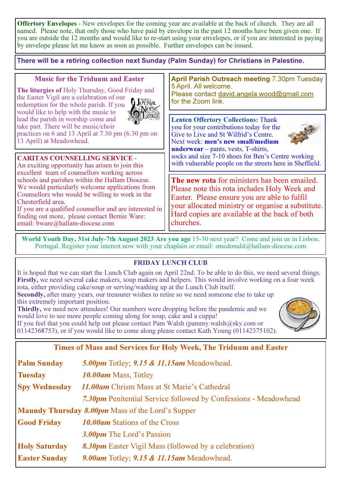Offertory Envelopes **-** New envelopes for the coming year are available at the back of church. They are all named. Please note, that only those who have paid by envelope in the past 12 months have been given one. If you are outside the 12 months and would like to re-start using your envelopes, or if you are interested in paying by envelope please let me know as soon as possible. Further envelopes can be issued.

There will be a retiring collection next Sunday (Palm Sunday) for Christians in Palestine.

## Music for the Triduum and Easter

The liturgies of Holy Thursday, Good Friday and the Easter Vigil are a celebration of our redemption for the whole parish. If you would like to help with the music to lead the parish in worship come and take part. There will be music/choir



practices on 6 and 13 April at 7.30 pm (6.30 pm on 13 April) at Meadowhead.

CARITAS COUNSELLING SERVICE **-**

An exciting opportunity has arisen to join this excellent team of counsellors working across schools and parishes within the Hallam Diocese. We would particularly welcome applications from Counsellors who would be willing to work in the Chesterfield area.

If you are a qualified counsellor and are interested in finding out more, please contact Bernie Ware: email: bware@hallam-diocese.com

April Parish Outreach meeting 7.30pm Tuesday 5 April. All welcome. Please contact david.angela.wood@gmail.com for the Zoom link.

Lenten Offertory Collections: Thank you for your contributions today for the Give to Live and St Wilfrid's Centre. Next week: men's new small/medium



underwear – pants, vests, T-shirts, socks and size 7-10 shoes for Ben's Centre working with vulnerable people on the streets here in Sheffield.

The new rota for ministers has been emailed. Please note this rota includes Holy Week and Easter. Please ensure you are able to fulfil your allocated ministry or organise a substitute. Hard copies are available at the back of both churches.

World Youth Day, 31st July**-**7th August 2023 Are you age 15-30 next year? Come and join us in Lisbon, Portugal. Register your interest now with your chaplain or email: smcdonald@hallam-diocese.com

## FRIDAY LUNCH CLUB

It is hoped that we can start the Lunch Club again on April 22nd. To be able to do this, we need several things. Firstly, we need several cake makers, soup makers and helpers. This would involve working on a four week rota, either providing cake/soup or serving/washing up at the Lunch Club itself.

Secondly, after many years, our treasurer wishes to retire so we need someone else to take up this extremely important position.

Thirdly, we need new attendees! Our numbers were dropping before the pandemic and we would love to see more people coming along for soup, cake and a cuppa!

If you feel that you could help out please contact Pam Walsh (pammy.walsh@sky.com or 01142368753), or if you would like to come along please contact Kath Young (01142375102).



## Times of Mass and Services for Holy Week, The Triduum and Easter

| <b>Palm Sunday</b>                                      | 5.00pm Totley; 9.15 & 11.15am Meadowhead.                              |  |  |  |
|---------------------------------------------------------|------------------------------------------------------------------------|--|--|--|
| <b>Tuesday</b>                                          | 10.00am Mass, Totley                                                   |  |  |  |
| <b>Spy Wednesday</b>                                    | 11.00am Chrism Mass at St Marie's Cathedral                            |  |  |  |
|                                                         | <b>7.30pm</b> Penitential Service followed by Confessions - Meadowhead |  |  |  |
| <b>Maundy Thursday 8.00pm</b> Mass of the Lord's Supper |                                                                        |  |  |  |
| <b>Good Friday</b>                                      | <b>10.00am</b> Stations of the Cross                                   |  |  |  |
|                                                         | 3.00pm The Lord's Passion                                              |  |  |  |
| <b>Holy Saturday</b>                                    | <b>8.30pm</b> Easter Vigil Mass (followed by a celebration)            |  |  |  |
| <b>Easter Sunday</b>                                    | 9.00am Totley; 9.15 & 11.15am Meadowhead.                              |  |  |  |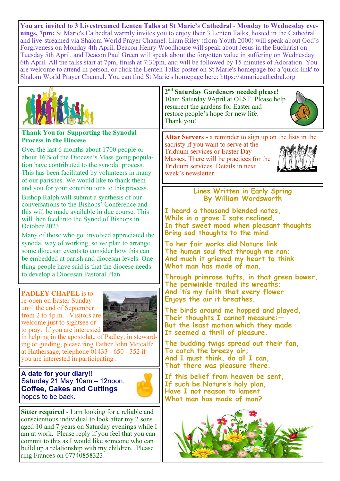You are invited to 3 Livestreamed Lenten Talks at St Marie's Cathedral **-** Monday to Wednesday evenings, 7pm: St Marie's Cathedral warmly invites you to enjoy their 3 Lenten Talks, hosted in the Cathedral and live-streamed via Shalom World Prayer Channel. Liam Riley (from Youth 2000) will speak about God's Forgiveness on Monday 4th April, Deacon Henry Woodhouse will speak about Jesus in the Eucharist on Tuesday 5th April, and Deacon Paul Green will speak about the forgotten value in suffering on Wednesday 6th April. All the talks start at 7pm, finish at 7:30pm, and will be followed by 15 minutes of Adoration. You are welcome to attend in person, or click the Lenten Talks poster on St Marie's homepage for a 'quick link' to Shalom World Prayer Channel. You can find St Marie's homepage here: https://stmariecathedral.org

week's newsletter.



### Thank You for Supporting the Synodal Process in the Diocese

Over the last 6 months about 1700 people or about 16% of the Diocese's Mass going population have contributed to the synodal process. This has been facilitated by volunteers in many of our parishes. We would like to thank them and you for your contributions to this process.

Bishop Ralph will submit a synthesis of our conversations to the Bishops' Conference and this will be made available in due course. This will then feed into the Synod of Bishops in October 2023.

Many of those who got involved appreciated the synodal way of working, so we plan to arrange some diocesan events to consider how this can be embedded at parish and diocesan levels. One thing people have said is that the diocese needs to develop a Diocesan Pastoral Plan.

PADLEY CHAPEL is to re-open on Easter Sunday until the end of September from 2 to 4p.m.. Visitors are welcome just to sightsee or to pray. If you are interested



in helping in the apostolate of Padley, in stewarding or guiding, please ring Father John Metcalfe at Hathersage, telephone 01433 - 650 - 352 if you are interested in participating .

A date for your diary!! Saturday 21 May 10am – 12noon. Coffee, Cakes and Cuttings hopes to be back.



Sitter required - I am looking for a reliable and conscientious individual to look after my 2 sons aged 10 and 7 years on Saturday evenings while I am at work. Please reply if you feel that you can commit to this as I would like someone who can build up a relationship with my children. Please ring Frances on 07740858323.

2<sup>nd</sup> Saturday Gardeners needed please! 10am Saturday 9April at OLST. Please help resurrect the gardens for Easter and restore people's hope for new life. Thank you!



Altar Servers **-** a reminder to sign up on the lists in the sacristy if you want to serve at the Triduum services or Easter Day Masses. There will be practices for the Triduum services. Details in next

> Lines Written in Early Spring By William Wordsworth

I heard a thousand blended notes, While in a grove I sate reclined, In that sweet mood when pleasant thoughts Bring sad thoughts to the mind.

To her fair works did Nature link The human soul that through me ran; And much it grieved my heart to think What man has made of man.

Through primrose tufts, in that green bower, The periwinkle trailed its wreaths; And 'tis my faith that every flower Enjoys the air it breathes.

The birds around me hopped and played, Their thoughts I cannot measure:— But the least motion which they made It seemed a thrill of pleasure.

The budding twigs spread out their fan, To catch the breezy air; And I must think, do all I can, That there was pleasure there.

If this belief from heaven be sent, If such be Nature's holy plan, Have I not reason to lament What man has made of man?